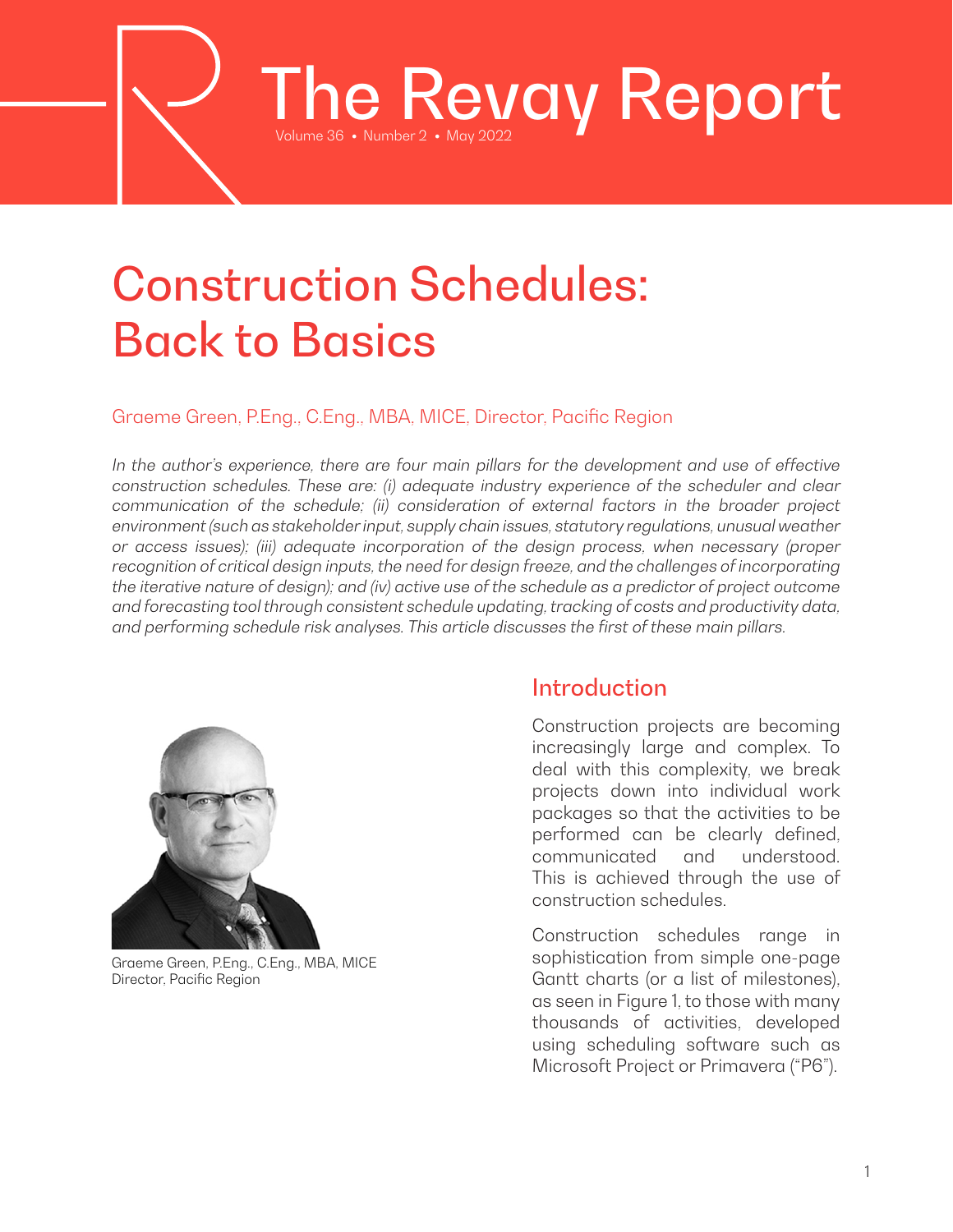# Construction Schedules: Back to Basics

### Graeme Green, P.Eng., C.Eng., MBA, MICE, Director, Pacific Region

In the author's experience, there are four main pillars for the development and use of effective *construction schedules. These are: (i) adequate industry experience of the scheduler and clear communication of the schedule; (ii) consideration of external factors in the broader project environment (such as stakeholder input, supply chain issues, statutory regulations, unusual weather or access issues); (iii) adequate incorporation of the design process, when necessary (proper recognition of critical design inputs, the need for design freeze, and the challenges of incorporating the iterative nature of design); and (iv) active use of the schedule as a predictor of project outcome and forecasting tool through consistent schedule updating, tracking of costs and productivity data, and performing schedule risk analyses. This article discusses the first of these main pillars.*

The Revay Report



Graeme Green, P.Eng., C.Eng., MBA, MICE Director, Pacific Region

## Introduction

Construction projects are becoming increasingly large and complex. To deal with this complexity, we break projects down into individual work packages so that the activities to be performed can be clearly defined, communicated and understood. This is achieved through the use of construction schedules.

Construction schedules range in sophistication from simple one-page Gantt charts (or a list of milestones), as seen in Figure 1, to those with many thousands of activities, developed using scheduling software such as Microsoft Project or Primavera ("P6").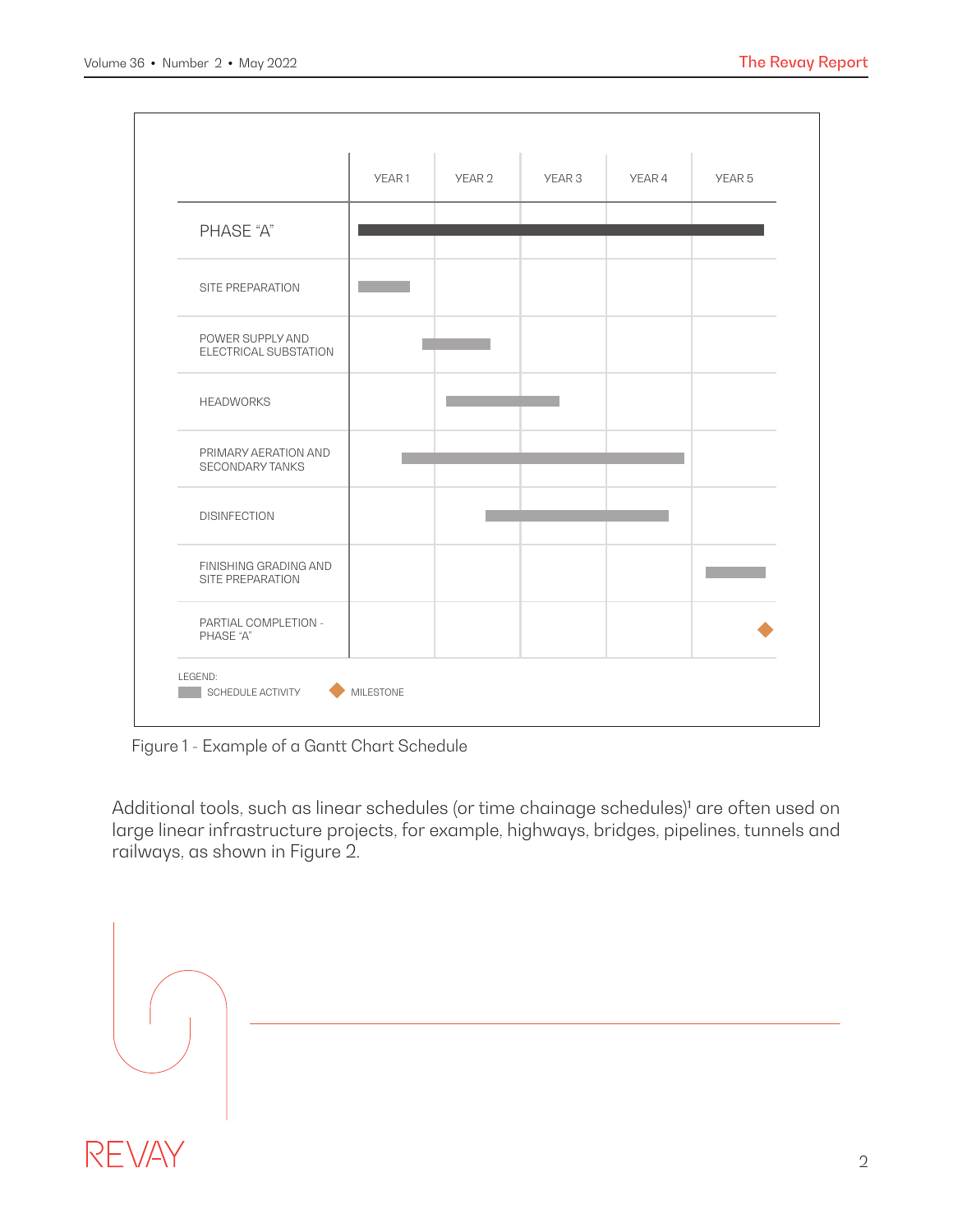

Figure 1 - Example of a Gantt Chart Schedule

Additional tools, such as linear schedules (or time chainage schedules)<sup>1</sup> are often used on large linear infrastructure projects, for example, highways, bridges, pipelines, tunnels and railways, as shown in Figure 2.

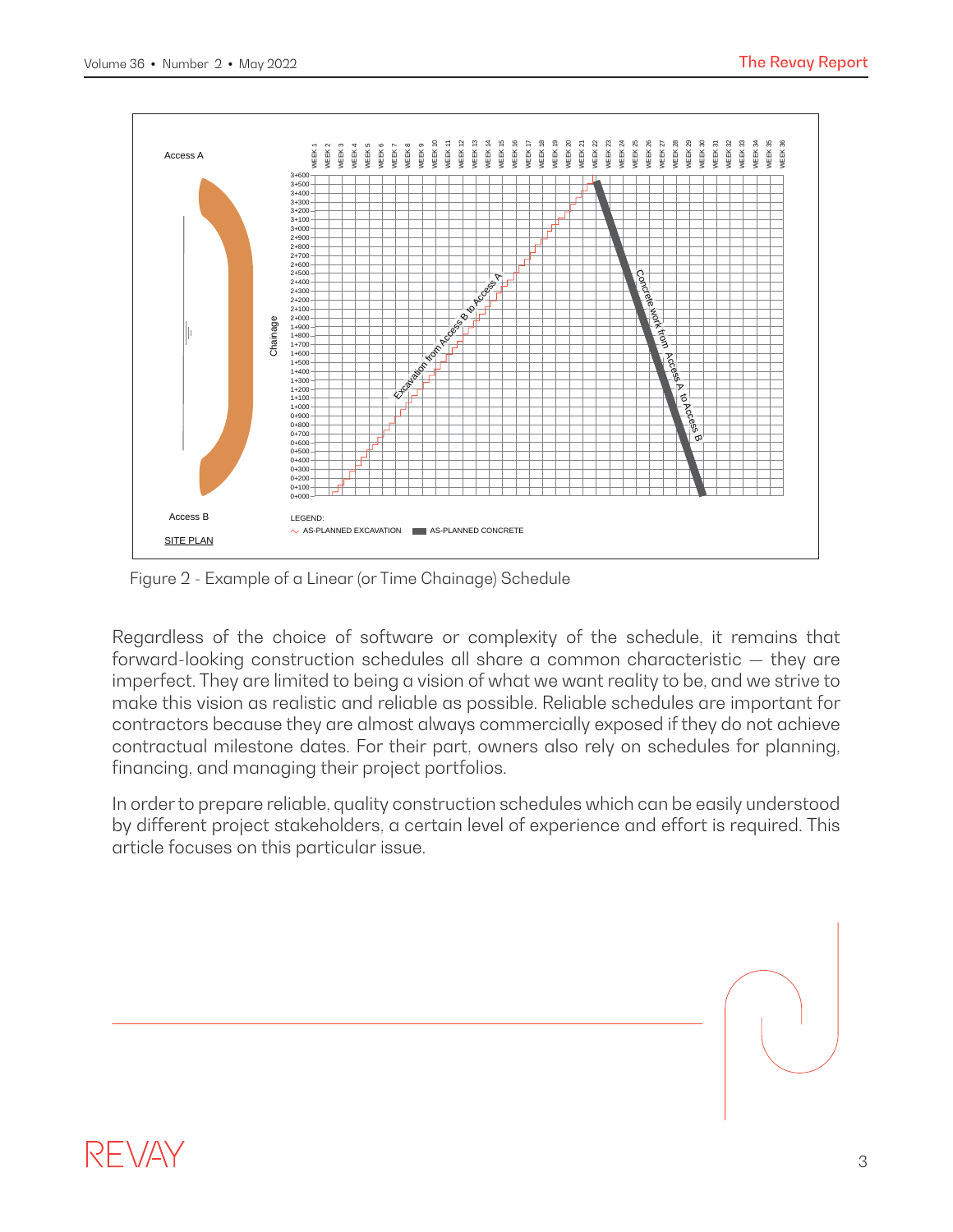

Figure 2 - Example of a Linear (or Time Chainage) Schedule

Regardless of the choice of software or complexity of the schedule, it remains that forward-looking construction schedules all share a common characteristic — they are imperfect. They are limited to being a vision of what we want reality to be, and we strive to make this vision as realistic and reliable as possible. Reliable schedules are important for contractors because they are almost always commercially exposed if they do not achieve contractual milestone dates. For their part, owners also rely on schedules for planning, financing, and managing their project portfolios.

In order to prepare reliable, quality construction schedules which can be easily understood by different project stakeholders, a certain level of experience and effort is required. This article focuses on this particular issue.

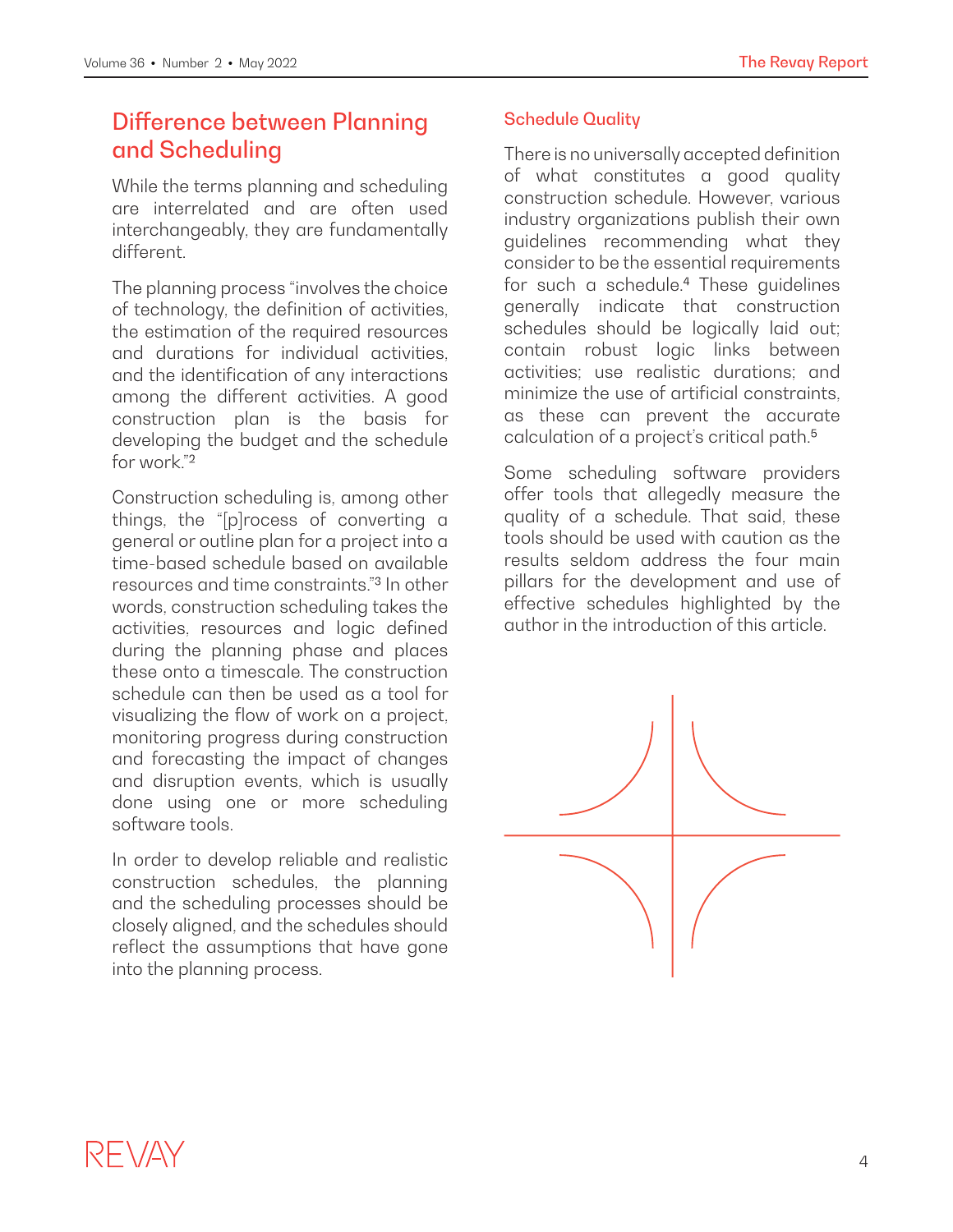# Difference between Planning and Scheduling

While the terms planning and scheduling are interrelated and are often used interchangeably, they are fundamentally different.

The planning process "involves the choice of technology, the definition of activities, the estimation of the required resources and durations for individual activities, and the identification of any interactions among the different activities. A good construction plan is the basis for developing the budget and the schedule for work<sup>"2</sup>

Construction scheduling is, among other things, the "[p]rocess of converting a general or outline plan for a project into a time-based schedule based on available resources and time constraints."3 In other words, construction scheduling takes the activities, resources and logic defined during the planning phase and places these onto a timescale. The construction schedule can then be used as a tool for visualizing the flow of work on a project, monitoring progress during construction and forecasting the impact of changes and disruption events, which is usually done using one or more scheduling software tools.

In order to develop reliable and realistic construction schedules, the planning and the scheduling processes should be closely aligned, and the schedules should reflect the assumptions that have gone into the planning process.

#### Schedule Quality

There is no universally accepted definition of what constitutes a good quality construction schedule. However, various industry organizations publish their own guidelines recommending what they consider to be the essential requirements for such a schedule.4 These guidelines generally indicate that construction schedules should be logically laid out; contain robust logic links between activities; use realistic durations; and minimize the use of artificial constraints, as these can prevent the accurate calculation of a project's critical path.<sup>5</sup>

Some scheduling software providers offer tools that allegedly measure the quality of a schedule. That said, these tools should be used with caution as the results seldom address the four main pillars for the development and use of effective schedules highlighted by the author in the introduction of this article.

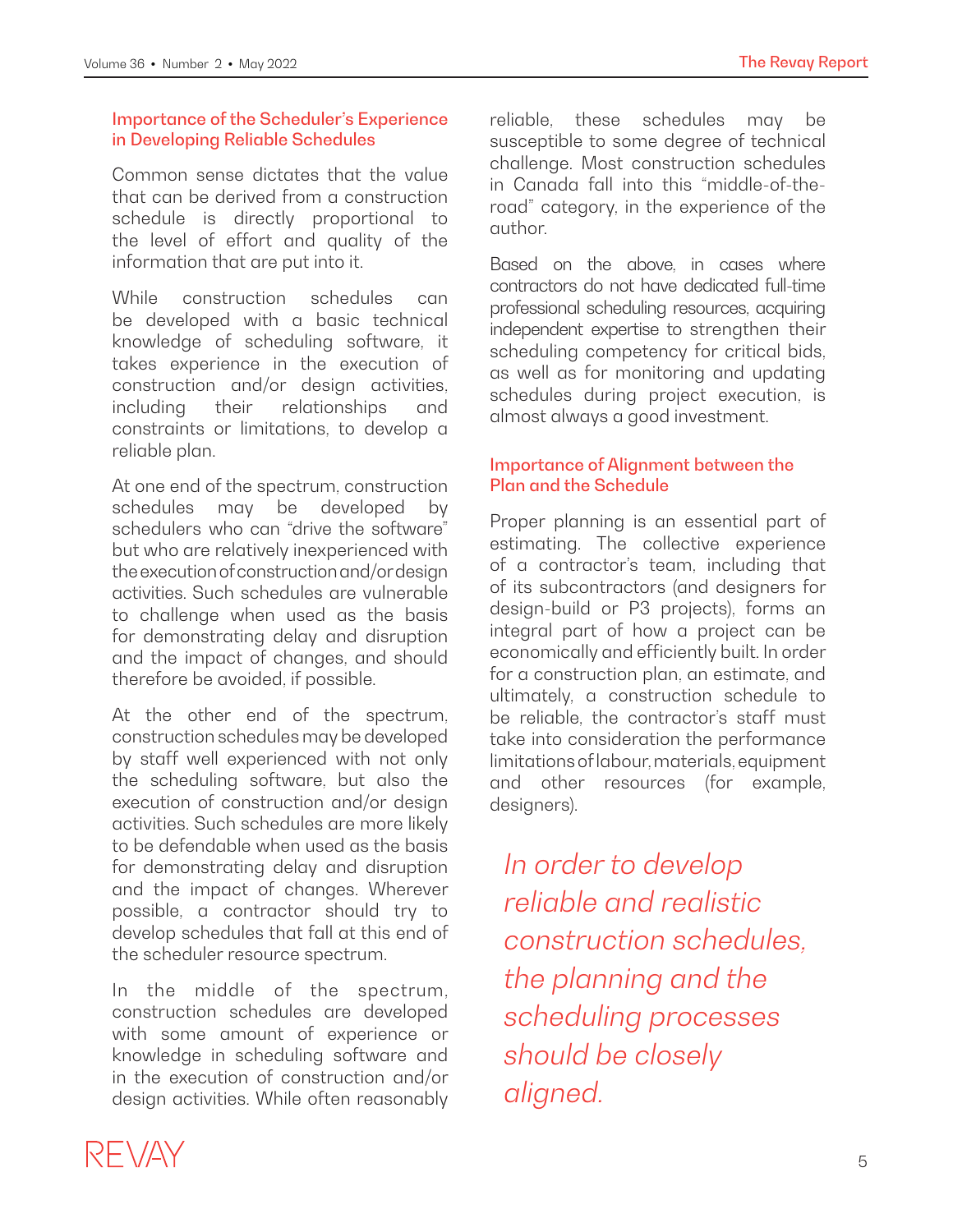#### Importance of the Scheduler's Experience in Developing Reliable Schedules

Common sense dictates that the value that can be derived from a construction schedule is directly proportional to the level of effort and quality of the information that are put into it.

While construction schedules can be developed with a basic technical knowledge of scheduling software, it takes experience in the execution of construction and/or design activities, including their relationships and constraints or limitations, to develop a reliable plan.

At one end of the spectrum, construction schedules may be developed by schedulers who can "drive the software" but who are relatively inexperienced with the execution of construction and/or design activities. Such schedules are vulnerable to challenge when used as the basis for demonstrating delay and disruption and the impact of changes, and should therefore be avoided, if possible.

At the other end of the spectrum, construction schedules may be developed by staff well experienced with not only the scheduling software, but also the execution of construction and/or design activities. Such schedules are more likely to be defendable when used as the basis for demonstrating delay and disruption and the impact of changes. Wherever possible, a contractor should try to develop schedules that fall at this end of the scheduler resource spectrum.

In the middle of the spectrum, construction schedules are developed with some amount of experience or knowledge in scheduling software and in the execution of construction and/or design activities. While often reasonably reliable, these schedules may be susceptible to some degree of technical challenge. Most construction schedules in Canada fall into this "middle-of-theroad" category, in the experience of the author.

Based on the above, in cases where contractors do not have dedicated full-time professional scheduling resources, acquiring independent expertise to strengthen their scheduling competency for critical bids, as well as for monitoring and updating schedules during project execution, is almost always a good investment.

#### Importance of Alignment between the Plan and the Schedule

Proper planning is an essential part of estimating. The collective experience of a contractor's team, including that of its subcontractors (and designers for design-build or P3 projects), forms an integral part of how a project can be economically and efficiently built. In order for a construction plan, an estimate, and ultimately, a construction schedule to be reliable, the contractor's staff must take into consideration the performance limitations of labour, materials, equipment and other resources (for example, designers).

*In order to develop reliable and realistic construction schedules, the planning and the scheduling processes should be closely aligned.*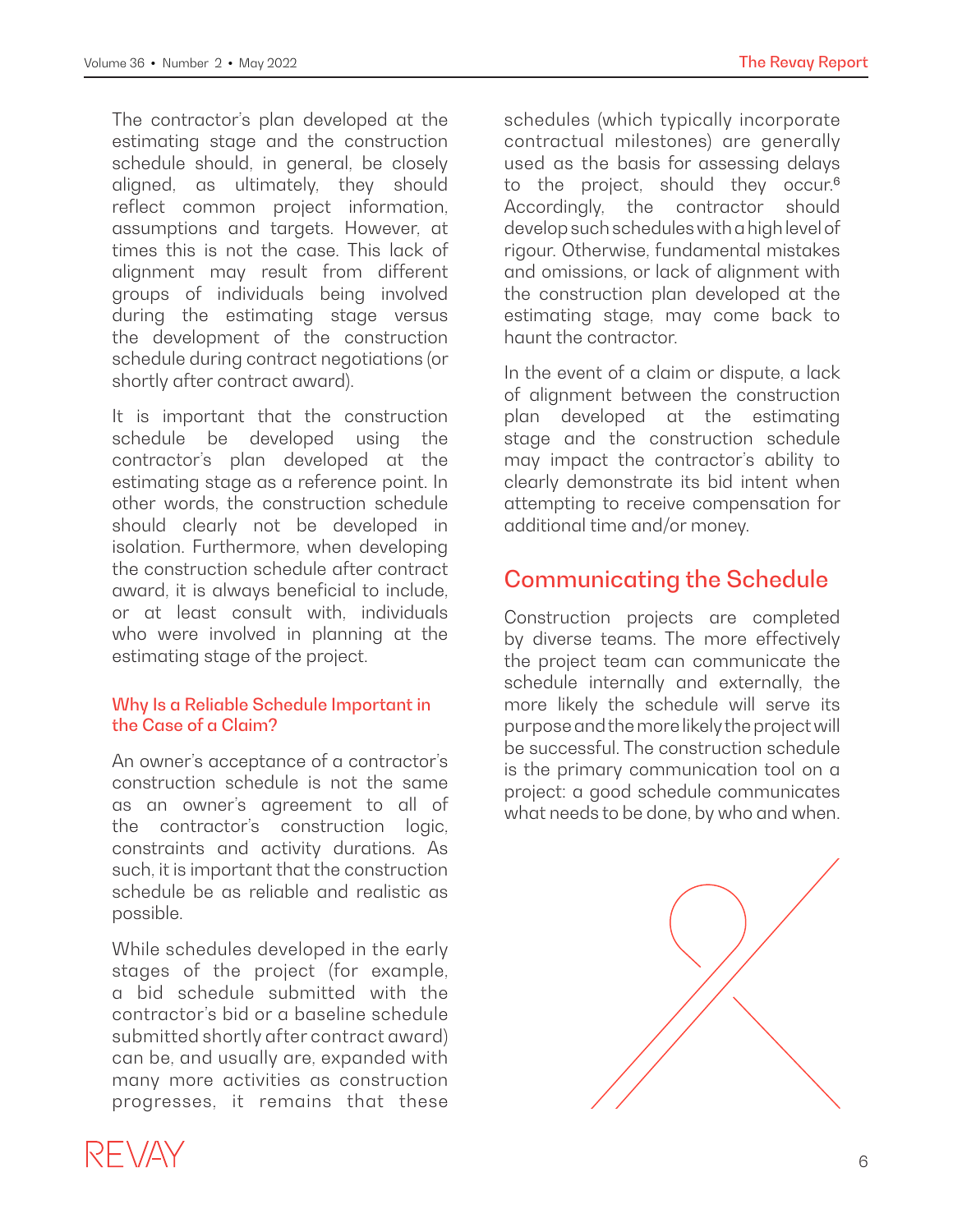The contractor's plan developed at the estimating stage and the construction schedule should, in general, be closely aligned, as ultimately, they should reflect common project information, assumptions and targets. However, at times this is not the case. This lack of alignment may result from different groups of individuals being involved during the estimating stage versus the development of the construction schedule during contract negotiations (or shortly after contract award).

It is important that the construction schedule be developed using the contractor's plan developed at the estimating stage as a reference point. In other words, the construction schedule should clearly not be developed in isolation. Furthermore, when developing the construction schedule after contract award, it is always beneficial to include, or at least consult with, individuals who were involved in planning at the estimating stage of the project.

#### Why Is a Reliable Schedule Important in the Case of a Claim?

An owner's acceptance of a contractor's construction schedule is not the same as an owner's agreement to all of the contractor's construction logic, constraints and activity durations. As such, it is important that the construction schedule be as reliable and realistic as possible.

While schedules developed in the early stages of the project (for example, a bid schedule submitted with the contractor's bid or a baseline schedule submitted shortly after contract award) can be, and usually are, expanded with many more activities as construction progresses, it remains that these

schedules (which typically incorporate contractual milestones) are generally used as the basis for assessing delays to the project, should they occur.<sup>6</sup> Accordingly, the contractor should develop such schedules with a high level of rigour. Otherwise, fundamental mistakes and omissions, or lack of alignment with the construction plan developed at the estimating stage, may come back to haunt the contractor.

In the event of a claim or dispute, a lack of alignment between the construction plan developed at the estimating stage and the construction schedule may impact the contractor's ability to clearly demonstrate its bid intent when attempting to receive compensation for additional time and/or money.

# Communicating the Schedule

Construction projects are completed by diverse teams. The more effectively the project team can communicate the schedule internally and externally, the more likely the schedule will serve its purpose and the more likely the project will be successful. The construction schedule is the primary communication tool on a project: a good schedule communicates what needs to be done, by who and when.

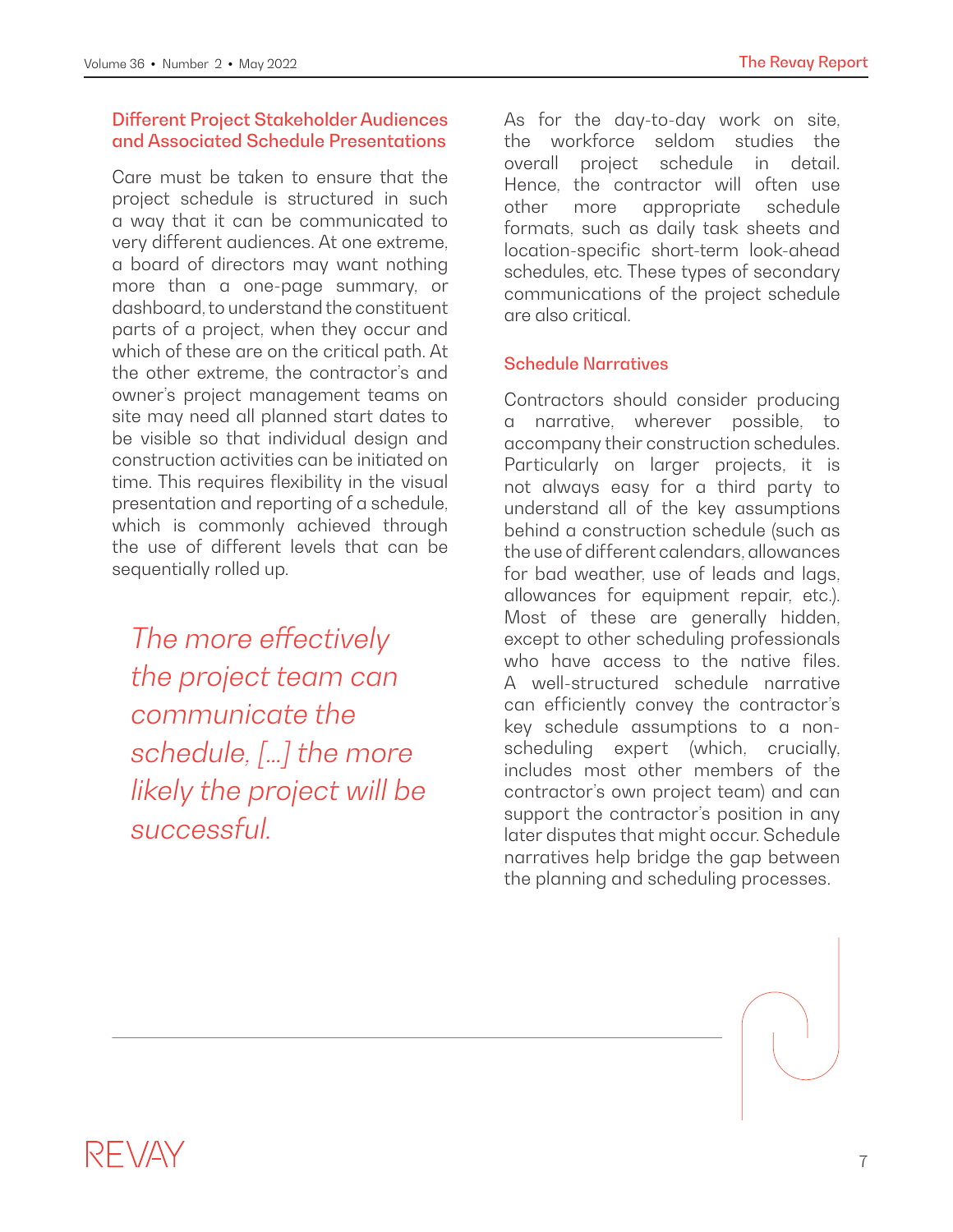#### Different Project Stakeholder Audiences and Associated Schedule Presentations

Care must be taken to ensure that the project schedule is structured in such a way that it can be communicated to very different audiences. At one extreme, a board of directors may want nothing more than a one-page summary, or dashboard, to understand the constituent parts of a project, when they occur and which of these are on the critical path. At the other extreme, the contractor's and owner's project management teams on site may need all planned start dates to be visible so that individual design and construction activities can be initiated on time. This requires flexibility in the visual presentation and reporting of a schedule, which is commonly achieved through the use of different levels that can be sequentially rolled up.

The more effectively *the project team can communicate the schedule, […] the more likely the project will be successful.*

As for the day-to-day work on site, the workforce seldom studies the overall project schedule in detail. Hence, the contractor will often use other more appropriate schedule formats, such as daily task sheets and location-specific short-term look-ahead schedules, etc. These types of secondary communications of the project schedule are also critical.

#### Schedule Narratives

Contractors should consider producing a narrative, wherever possible, to accompany their construction schedules. Particularly on larger projects, it is not always easy for a third party to understand all of the key assumptions behind a construction schedule (such as the use of different calendars, allowances for bad weather, use of leads and lags, allowances for equipment repair, etc.). Most of these are generally hidden, except to other scheduling professionals who have access to the native files. A well-structured schedule narrative can efficiently convey the contractor's key schedule assumptions to a nonscheduling expert (which, crucially, includes most other members of the contractor's own project team) and can support the contractor's position in any later disputes that might occur. Schedule narratives help bridge the gap between the planning and scheduling processes.